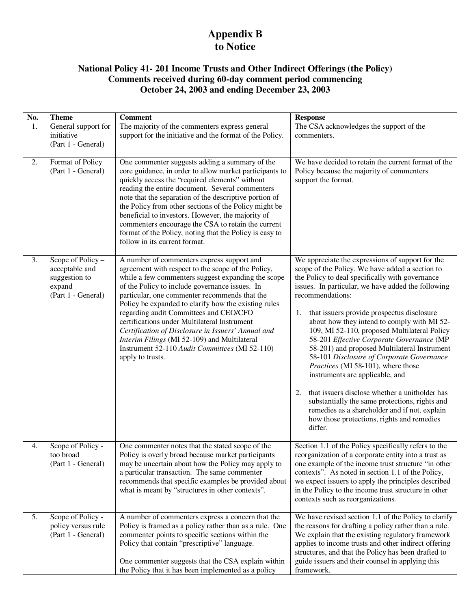## **Appendix B to Notice**

## **National Policy 41- 201 Income Trusts and Other Indirect Offerings (the Policy) Comments received during 60-day comment period commencing October 24, 2003 and ending December 23, 2003**

| No. | <b>Theme</b>                                                                         | <b>Comment</b>                                                                                                                                                                                                                                                                                                                                                                                                                                                                                                                                                                          | <b>Response</b>                                                                                                                                                                                                                                                                                                                                                                                                                                                                                                                                                                                                                                                                                                                                                                                                            |
|-----|--------------------------------------------------------------------------------------|-----------------------------------------------------------------------------------------------------------------------------------------------------------------------------------------------------------------------------------------------------------------------------------------------------------------------------------------------------------------------------------------------------------------------------------------------------------------------------------------------------------------------------------------------------------------------------------------|----------------------------------------------------------------------------------------------------------------------------------------------------------------------------------------------------------------------------------------------------------------------------------------------------------------------------------------------------------------------------------------------------------------------------------------------------------------------------------------------------------------------------------------------------------------------------------------------------------------------------------------------------------------------------------------------------------------------------------------------------------------------------------------------------------------------------|
| 1.  | General support for<br>initiative<br>(Part 1 - General)                              | The majority of the commenters express general<br>support for the initiative and the format of the Policy.                                                                                                                                                                                                                                                                                                                                                                                                                                                                              | The CSA acknowledges the support of the<br>commenters.                                                                                                                                                                                                                                                                                                                                                                                                                                                                                                                                                                                                                                                                                                                                                                     |
| 2.  | Format of Policy<br>(Part 1 - General)                                               | One commenter suggests adding a summary of the<br>core guidance, in order to allow market participants to<br>quickly access the "required elements" without<br>reading the entire document. Several commenters<br>note that the separation of the descriptive portion of<br>the Policy from other sections of the Policy might be<br>beneficial to investors. However, the majority of<br>commenters encourage the CSA to retain the current<br>format of the Policy, noting that the Policy is easy to<br>follow in its current format.                                                | We have decided to retain the current format of the<br>Policy because the majority of commenters<br>support the format.                                                                                                                                                                                                                                                                                                                                                                                                                                                                                                                                                                                                                                                                                                    |
| 3.  | Scope of Policy -<br>acceptable and<br>suggestion to<br>expand<br>(Part 1 - General) | A number of commenters express support and<br>agreement with respect to the scope of the Policy,<br>while a few commenters suggest expanding the scope<br>of the Policy to include governance issues. In<br>particular, one commenter recommends that the<br>Policy be expanded to clarify how the existing rules<br>regarding audit Committees and CEO/CFO<br>certifications under Multilateral Instrument<br>Certification of Disclosure in Issuers' Annual and<br>Interim Filings (MI 52-109) and Multilateral<br>Instrument 52-110 Audit Committees (MI 52-110)<br>apply to trusts. | We appreciate the expressions of support for the<br>scope of the Policy. We have added a section to<br>the Policy to deal specifically with governance<br>issues. In particular, we have added the following<br>recommendations:<br>that issuers provide prospectus disclosure<br>1.<br>about how they intend to comply with MI 52-<br>109, MI 52-110, proposed Multilateral Policy<br>58-201 Effective Corporate Governance (MP<br>58-201) and proposed Multilateral Instrument<br>58-101 Disclosure of Corporate Governance<br>Practices (MI 58-101), where those<br>instruments are applicable, and<br>that issuers disclose whether a unitholder has<br>2.<br>substantially the same protections, rights and<br>remedies as a shareholder and if not, explain<br>how those protections, rights and remedies<br>differ. |
| 4.  | Scope of Policy -<br>too broad<br>(Part 1 - General)                                 | One commenter notes that the stated scope of the<br>Policy is overly broad because market participants<br>may be uncertain about how the Policy may apply to<br>a particular transaction. The same commenter<br>recommends that specific examples be provided about<br>what is meant by "structures in other contexts".                                                                                                                                                                                                                                                                 | Section 1.1 of the Policy specifically refers to the<br>reorganization of a corporate entity into a trust as<br>one example of the income trust structure "in other<br>contexts". As noted in section 1.1 of the Policy,<br>we expect issuers to apply the principles described<br>in the Policy to the income trust structure in other<br>contexts such as reorganizations.                                                                                                                                                                                                                                                                                                                                                                                                                                               |
| 5.  | Scope of Policy -<br>policy versus rule<br>(Part 1 - General)                        | A number of commenters express a concern that the<br>Policy is framed as a policy rather than as a rule. One<br>commenter points to specific sections within the<br>Policy that contain "prescriptive" language.<br>One commenter suggests that the CSA explain within<br>the Policy that it has been implemented as a policy                                                                                                                                                                                                                                                           | We have revised section 1.1 of the Policy to clarify<br>the reasons for drafting a policy rather than a rule.<br>We explain that the existing regulatory framework<br>applies to income trusts and other indirect offering<br>structures, and that the Policy has been drafted to<br>guide issuers and their counsel in applying this<br>framework.                                                                                                                                                                                                                                                                                                                                                                                                                                                                        |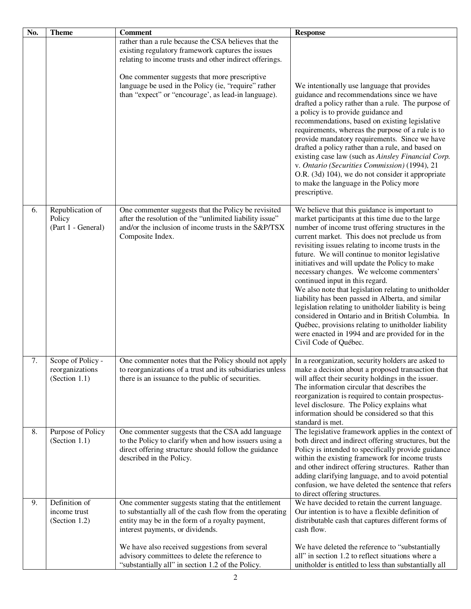| No. | <b>Theme</b>                                          | <b>Comment</b>                                                                                                                                                                                                        | <b>Response</b>                                                                                                                                                                                                                                                                                                                                                                                                                                                                                                                                                                                                                                                                                                                                                                                                     |
|-----|-------------------------------------------------------|-----------------------------------------------------------------------------------------------------------------------------------------------------------------------------------------------------------------------|---------------------------------------------------------------------------------------------------------------------------------------------------------------------------------------------------------------------------------------------------------------------------------------------------------------------------------------------------------------------------------------------------------------------------------------------------------------------------------------------------------------------------------------------------------------------------------------------------------------------------------------------------------------------------------------------------------------------------------------------------------------------------------------------------------------------|
|     |                                                       | rather than a rule because the CSA believes that the<br>existing regulatory framework captures the issues<br>relating to income trusts and other indirect offerings.<br>One commenter suggests that more prescriptive |                                                                                                                                                                                                                                                                                                                                                                                                                                                                                                                                                                                                                                                                                                                                                                                                                     |
|     |                                                       | language be used in the Policy (ie, "require" rather<br>than "expect" or "encourage', as lead-in language).                                                                                                           | We intentionally use language that provides<br>guidance and recommendations since we have<br>drafted a policy rather than a rule. The purpose of<br>a policy is to provide guidance and<br>recommendations, based on existing legislative<br>requirements, whereas the purpose of a rule is to<br>provide mandatory requirements. Since we have<br>drafted a policy rather than a rule, and based on<br>existing case law (such as Ainsley Financial Corp.<br>v. Ontario (Securities Commission) (1994), 21<br>O.R. (3d) 104), we do not consider it appropriate<br>to make the language in the Policy more<br>prescriptive.                                                                                                                                                                                        |
| 6.  | Republication of<br>Policy<br>(Part 1 - General)      | One commenter suggests that the Policy be revisited<br>after the resolution of the "unlimited liability issue"<br>and/or the inclusion of income trusts in the S&P/TSX<br>Composite Index.                            | We believe that this guidance is important to<br>market participants at this time due to the large<br>number of income trust offering structures in the<br>current market. This does not preclude us from<br>revisiting issues relating to income trusts in the<br>future. We will continue to monitor legislative<br>initiatives and will update the Policy to make<br>necessary changes. We welcome commenters'<br>continued input in this regard.<br>We also note that legislation relating to unitholder<br>liability has been passed in Alberta, and similar<br>legislation relating to unitholder liability is being<br>considered in Ontario and in British Columbia. In<br>Québec, provisions relating to unitholder liability<br>were enacted in 1994 and are provided for in the<br>Civil Code of Québec. |
| 7.  | Scope of Policy -<br>reorganizations<br>(Section 1.1) | One commenter notes that the Policy should not apply<br>to reorganizations of a trust and its subsidiaries unless<br>there is an issuance to the public of securities.                                                | In a reorganization, security holders are asked to<br>make a decision about a proposed transaction that<br>will affect their security holdings in the issuer.<br>The information circular that describes the<br>reorganization is required to contain prospectus-<br>level disclosure. The Policy explains what<br>information should be considered so that this<br>standard is met.                                                                                                                                                                                                                                                                                                                                                                                                                                |
| 8.  | Purpose of Policy<br>(Section 1.1)                    | One commenter suggests that the CSA add language<br>to the Policy to clarify when and how issuers using a<br>direct offering structure should follow the guidance<br>described in the Policy.                         | The legislative framework applies in the context of<br>both direct and indirect offering structures, but the<br>Policy is intended to specifically provide guidance<br>within the existing framework for income trusts<br>and other indirect offering structures. Rather than<br>adding clarifying language, and to avoid potential<br>confusion, we have deleted the sentence that refers<br>to direct offering structures.                                                                                                                                                                                                                                                                                                                                                                                        |
| 9.  | Definition of<br>income trust<br>(Section $1.2$ )     | One commenter suggests stating that the entitlement<br>to substantially all of the cash flow from the operating<br>entity may be in the form of a royalty payment,<br>interest payments, or dividends.                | We have decided to retain the current language.<br>Our intention is to have a flexible definition of<br>distributable cash that captures different forms of<br>cash flow.                                                                                                                                                                                                                                                                                                                                                                                                                                                                                                                                                                                                                                           |
|     |                                                       | We have also received suggestions from several<br>advisory committees to delete the reference to<br>"substantially all" in section 1.2 of the Policy.                                                                 | We have deleted the reference to "substantially<br>all" in section 1.2 to reflect situations where a<br>unitholder is entitled to less than substantially all                                                                                                                                                                                                                                                                                                                                                                                                                                                                                                                                                                                                                                                       |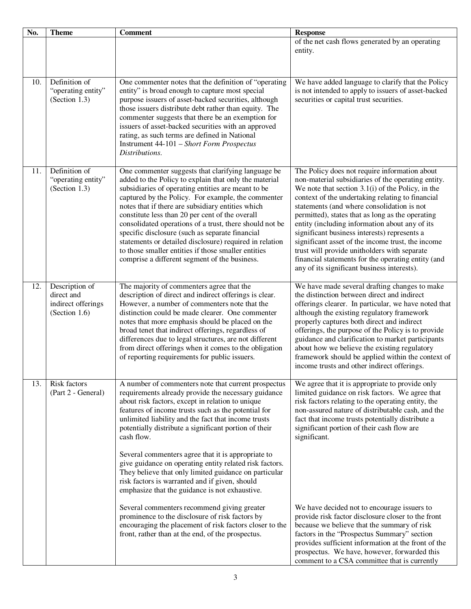| No. | <b>Theme</b>                                                        | <b>Comment</b>                                                                                                                                                                                                                                                                                                                                                                                                                                                                                                                                                                                                                    | <b>Response</b>                                                                                                                                                                                                                                                                                                                                                                                                                                                                                                                                                                                                              |
|-----|---------------------------------------------------------------------|-----------------------------------------------------------------------------------------------------------------------------------------------------------------------------------------------------------------------------------------------------------------------------------------------------------------------------------------------------------------------------------------------------------------------------------------------------------------------------------------------------------------------------------------------------------------------------------------------------------------------------------|------------------------------------------------------------------------------------------------------------------------------------------------------------------------------------------------------------------------------------------------------------------------------------------------------------------------------------------------------------------------------------------------------------------------------------------------------------------------------------------------------------------------------------------------------------------------------------------------------------------------------|
|     |                                                                     |                                                                                                                                                                                                                                                                                                                                                                                                                                                                                                                                                                                                                                   | of the net cash flows generated by an operating<br>entity.                                                                                                                                                                                                                                                                                                                                                                                                                                                                                                                                                                   |
| 10. | Definition of<br>"operating entity"<br>(Section 1.3)                | One commenter notes that the definition of "operating<br>entity" is broad enough to capture most special<br>purpose issuers of asset-backed securities, although<br>those issuers distribute debt rather than equity. The<br>commenter suggests that there be an exemption for<br>issuers of asset-backed securities with an approved<br>rating, as such terms are defined in National<br>Instrument 44-101 - Short Form Prospectus<br>Distributions.                                                                                                                                                                             | We have added language to clarify that the Policy<br>is not intended to apply to issuers of asset-backed<br>securities or capital trust securities.                                                                                                                                                                                                                                                                                                                                                                                                                                                                          |
| 11. | Definition of<br>"operating entity"<br>(Section $1.3$ )             | One commenter suggests that clarifying language be<br>added to the Policy to explain that only the material<br>subsidiaries of operating entities are meant to be<br>captured by the Policy. For example, the commenter<br>notes that if there are subsidiary entities which<br>constitute less than 20 per cent of the overall<br>consolidated operations of a trust, there should not be<br>specific disclosure (such as separate financial<br>statements or detailed disclosure) required in relation<br>to those smaller entities if those smaller entities<br>comprise a different segment of the business.                  | The Policy does not require information about<br>non-material subsidiaries of the operating entity.<br>We note that section $3.1(i)$ of the Policy, in the<br>context of the undertaking relating to financial<br>statements (and where consolidation is not<br>permitted), states that as long as the operating<br>entity (including information about any of its<br>significant business interests) represents a<br>significant asset of the income trust, the income<br>trust will provide unitholders with separate<br>financial statements for the operating entity (and<br>any of its significant business interests). |
| 12. | Description of<br>direct and<br>indirect offerings<br>(Section 1.6) | The majority of commenters agree that the<br>description of direct and indirect offerings is clear.<br>However, a number of commenters note that the<br>distinction could be made clearer. One commenter<br>notes that more emphasis should be placed on the<br>broad tenet that indirect offerings, regardless of<br>differences due to legal structures, are not different<br>from direct offerings when it comes to the obligation<br>of reporting requirements for public issuers.                                                                                                                                            | We have made several drafting changes to make<br>the distinction between direct and indirect<br>offerings clearer. In particular, we have noted that<br>although the existing regulatory framework<br>properly captures both direct and indirect<br>offerings, the purpose of the Policy is to provide<br>guidance and clarification to market participants<br>about how we believe the existing regulatory<br>framework should be applied within the context of<br>income trusts and other indirect offerings.                                                                                                              |
| 13. | <b>Risk factors</b><br>(Part 2 - General)                           | A number of commenters note that current prospectus<br>requirements already provide the necessary guidance<br>about risk factors, except in relation to unique<br>features of income trusts such as the potential for<br>unlimited liability and the fact that income trusts<br>potentially distribute a significant portion of their<br>cash flow.<br>Several commenters agree that it is appropriate to<br>give guidance on operating entity related risk factors.<br>They believe that only limited guidance on particular<br>risk factors is warranted and if given, should<br>emphasize that the guidance is not exhaustive. | We agree that it is appropriate to provide only<br>limited guidance on risk factors. We agree that<br>risk factors relating to the operating entity, the<br>non-assured nature of distributable cash, and the<br>fact that income trusts potentially distribute a<br>significant portion of their cash flow are<br>significant.                                                                                                                                                                                                                                                                                              |
|     |                                                                     | Several commenters recommend giving greater<br>prominence to the disclosure of risk factors by<br>encouraging the placement of risk factors closer to the<br>front, rather than at the end, of the prospectus.                                                                                                                                                                                                                                                                                                                                                                                                                    | We have decided not to encourage issuers to<br>provide risk factor disclosure closer to the front<br>because we believe that the summary of risk<br>factors in the "Prospectus Summary" section<br>provides sufficient information at the front of the<br>prospectus. We have, however, forwarded this<br>comment to a CSA committee that is currently                                                                                                                                                                                                                                                                       |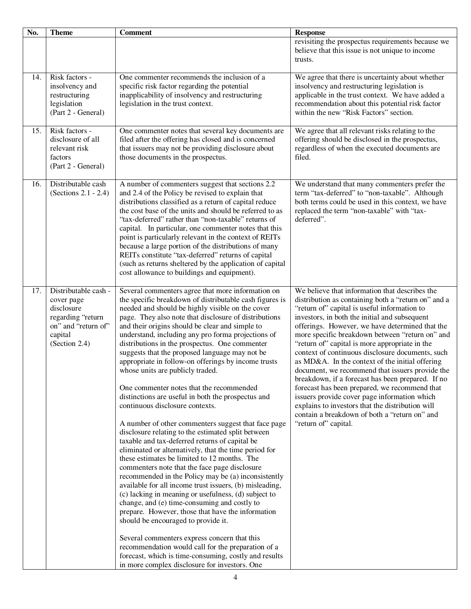| trusts.<br>Risk factors -<br>One commenter recommends the inclusion of a<br>14.<br>specific risk factor regarding the potential<br>insolvency and restructuring legislation is<br>insolvency and<br>inapplicability of insolvency and restructuring<br>restructuring<br>legislation in the trust context.<br>legislation<br>(Part 2 - General)<br>within the new "Risk Factors" section.<br>Risk factors -<br>15.<br>One commenter notes that several key documents are<br>disclosure of all<br>filed after the offering has closed and is concerned<br>that issuers may not be providing disclosure about<br>relevant risk<br>filed.<br>factors<br>those documents in the prospectus.<br>(Part 2 - General)<br>Distributable cash<br>A number of commenters suggest that sections 2.2<br>16.<br>(Sections 2.1 - 2.4)<br>and 2.4 of the Policy be revised to explain that<br>distributions classified as a return of capital reduce<br>the cost base of the units and should be referred to as<br>replaced the term "non-taxable" with "tax-<br>"tax-deferred" rather than "non-taxable" returns of<br>deferred".<br>capital. In particular, one commenter notes that this<br>point is particularly relevant in the context of REITs<br>because a large portion of the distributions of many<br>REITs constitute "tax-deferred" returns of capital<br>(such as returns sheltered by the application of capital<br>cost allowance to buildings and equipment).<br>17.<br>Distributable cash -<br>Several commenters agree that more information on<br>the specific breakdown of distributable cash figures is<br>cover page<br>disclosure<br>needed and should be highly visible on the cover<br>"return of" capital is useful information to<br>regarding "return<br>page. They also note that disclosure of distributions<br>investors, in both the initial and subsequent<br>on" and "return of"<br>and their origins should be clear and simple to<br>understand, including any pro forma projections of<br>capital<br>(Section 2.4)<br>distributions in the prospectus. One commenter<br>"return of" capital is more appropriate in the<br>suggests that the proposed language may not be<br>appropriate in follow-on offerings by income trusts<br>whose units are publicly traded.<br>One commenter notes that the recommended<br>distinctions are useful in both the prospectus and<br>continuous disclosure contexts.<br>"return of" capital.<br>A number of other commenters suggest that face page<br>disclosure relating to the estimated split between<br>taxable and tax-deferred returns of capital be<br>eliminated or alternatively, that the time period for<br>these estimates be limited to 12 months. The<br>commenters note that the face page disclosure<br>recommended in the Policy may be (a) inconsistently<br>available for all income trust issuers, (b) misleading,<br>(c) lacking in meaning or usefulness, (d) subject to<br>change, and (e) time-consuming and costly to<br>prepare. However, those that have the information<br>should be encouraged to provide it.<br>Several commenters express concern that this | No. | <b>Theme</b> | <b>Comment</b> | <b>Response</b>                                                                                                                                                                                                                                                                                                                                                                                                                                                                                                                                                                                                                  |
|------------------------------------------------------------------------------------------------------------------------------------------------------------------------------------------------------------------------------------------------------------------------------------------------------------------------------------------------------------------------------------------------------------------------------------------------------------------------------------------------------------------------------------------------------------------------------------------------------------------------------------------------------------------------------------------------------------------------------------------------------------------------------------------------------------------------------------------------------------------------------------------------------------------------------------------------------------------------------------------------------------------------------------------------------------------------------------------------------------------------------------------------------------------------------------------------------------------------------------------------------------------------------------------------------------------------------------------------------------------------------------------------------------------------------------------------------------------------------------------------------------------------------------------------------------------------------------------------------------------------------------------------------------------------------------------------------------------------------------------------------------------------------------------------------------------------------------------------------------------------------------------------------------------------------------------------------------------------------------------------------------------------------------------------------------------------------------------------------------------------------------------------------------------------------------------------------------------------------------------------------------------------------------------------------------------------------------------------------------------------------------------------------------------------------------------------------------------------------------------------------------------------------------------------------------------------------------------------------------------------------------------------------------------------------------------------------------------------------------------------------------------------------------------------------------------------------------------------------------------------------------------------------------------------------------------------------------------------------------------------------------------------------------------------------------------------------------------------------------------------------------------------------|-----|--------------|----------------|----------------------------------------------------------------------------------------------------------------------------------------------------------------------------------------------------------------------------------------------------------------------------------------------------------------------------------------------------------------------------------------------------------------------------------------------------------------------------------------------------------------------------------------------------------------------------------------------------------------------------------|
|                                                                                                                                                                                                                                                                                                                                                                                                                                                                                                                                                                                                                                                                                                                                                                                                                                                                                                                                                                                                                                                                                                                                                                                                                                                                                                                                                                                                                                                                                                                                                                                                                                                                                                                                                                                                                                                                                                                                                                                                                                                                                                                                                                                                                                                                                                                                                                                                                                                                                                                                                                                                                                                                                                                                                                                                                                                                                                                                                                                                                                                                                                                                                      |     |              |                | revisiting the prospectus requirements because we<br>believe that this issue is not unique to income                                                                                                                                                                                                                                                                                                                                                                                                                                                                                                                             |
|                                                                                                                                                                                                                                                                                                                                                                                                                                                                                                                                                                                                                                                                                                                                                                                                                                                                                                                                                                                                                                                                                                                                                                                                                                                                                                                                                                                                                                                                                                                                                                                                                                                                                                                                                                                                                                                                                                                                                                                                                                                                                                                                                                                                                                                                                                                                                                                                                                                                                                                                                                                                                                                                                                                                                                                                                                                                                                                                                                                                                                                                                                                                                      |     |              |                | We agree that there is uncertainty about whether<br>applicable in the trust context. We have added a<br>recommendation about this potential risk factor                                                                                                                                                                                                                                                                                                                                                                                                                                                                          |
|                                                                                                                                                                                                                                                                                                                                                                                                                                                                                                                                                                                                                                                                                                                                                                                                                                                                                                                                                                                                                                                                                                                                                                                                                                                                                                                                                                                                                                                                                                                                                                                                                                                                                                                                                                                                                                                                                                                                                                                                                                                                                                                                                                                                                                                                                                                                                                                                                                                                                                                                                                                                                                                                                                                                                                                                                                                                                                                                                                                                                                                                                                                                                      |     |              |                | We agree that all relevant risks relating to the<br>offering should be disclosed in the prospectus,<br>regardless of when the executed documents are                                                                                                                                                                                                                                                                                                                                                                                                                                                                             |
|                                                                                                                                                                                                                                                                                                                                                                                                                                                                                                                                                                                                                                                                                                                                                                                                                                                                                                                                                                                                                                                                                                                                                                                                                                                                                                                                                                                                                                                                                                                                                                                                                                                                                                                                                                                                                                                                                                                                                                                                                                                                                                                                                                                                                                                                                                                                                                                                                                                                                                                                                                                                                                                                                                                                                                                                                                                                                                                                                                                                                                                                                                                                                      |     |              |                | We understand that many commenters prefer the<br>term "tax-deferred" to "non-taxable". Although<br>both terms could be used in this context, we have                                                                                                                                                                                                                                                                                                                                                                                                                                                                             |
| recommendation would call for the preparation of a<br>forecast, which is time-consuming, costly and results<br>in more complex disclosure for investors. One                                                                                                                                                                                                                                                                                                                                                                                                                                                                                                                                                                                                                                                                                                                                                                                                                                                                                                                                                                                                                                                                                                                                                                                                                                                                                                                                                                                                                                                                                                                                                                                                                                                                                                                                                                                                                                                                                                                                                                                                                                                                                                                                                                                                                                                                                                                                                                                                                                                                                                                                                                                                                                                                                                                                                                                                                                                                                                                                                                                         |     |              |                | We believe that information that describes the<br>distribution as containing both a "return on" and a<br>offerings. However, we have determined that the<br>more specific breakdown between "return on" and<br>context of continuous disclosure documents, such<br>as MD&A. In the context of the initial offering<br>document, we recommend that issuers provide the<br>breakdown, if a forecast has been prepared. If no<br>forecast has been prepared, we recommend that<br>issuers provide cover page information which<br>explains to investors that the distribution will<br>contain a breakdown of both a "return on" and |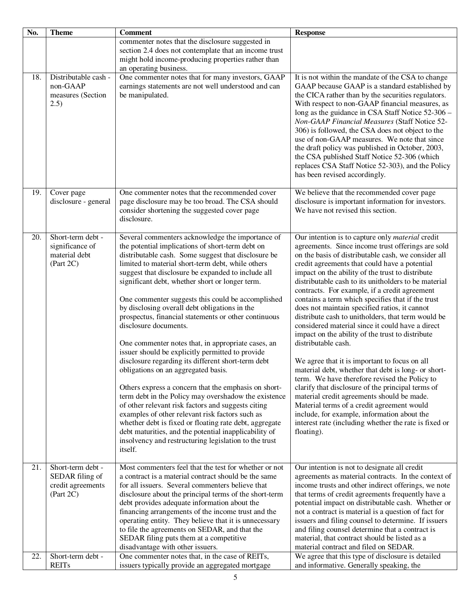| No. | <b>Theme</b>                                                           | <b>Comment</b>                                                                                                                                                                                                                                                                                                                                                                                                                                                                                                                                                                                                                                                                                                                                                                                                                                                                                                                                                                                                                                                                                                                          | <b>Response</b>                                                                                                                                                                                                                                                                                                                                                                                                                                                                                                                                                                                                                                                                                                                                                                                                                                                                                                                                                                                                                                                                                              |
|-----|------------------------------------------------------------------------|-----------------------------------------------------------------------------------------------------------------------------------------------------------------------------------------------------------------------------------------------------------------------------------------------------------------------------------------------------------------------------------------------------------------------------------------------------------------------------------------------------------------------------------------------------------------------------------------------------------------------------------------------------------------------------------------------------------------------------------------------------------------------------------------------------------------------------------------------------------------------------------------------------------------------------------------------------------------------------------------------------------------------------------------------------------------------------------------------------------------------------------------|--------------------------------------------------------------------------------------------------------------------------------------------------------------------------------------------------------------------------------------------------------------------------------------------------------------------------------------------------------------------------------------------------------------------------------------------------------------------------------------------------------------------------------------------------------------------------------------------------------------------------------------------------------------------------------------------------------------------------------------------------------------------------------------------------------------------------------------------------------------------------------------------------------------------------------------------------------------------------------------------------------------------------------------------------------------------------------------------------------------|
|     |                                                                        | commenter notes that the disclosure suggested in<br>section 2.4 does not contemplate that an income trust<br>might hold income-producing properties rather than<br>an operating business.                                                                                                                                                                                                                                                                                                                                                                                                                                                                                                                                                                                                                                                                                                                                                                                                                                                                                                                                               |                                                                                                                                                                                                                                                                                                                                                                                                                                                                                                                                                                                                                                                                                                                                                                                                                                                                                                                                                                                                                                                                                                              |
| 18. | Distributable cash -<br>non-GAAP<br>measures (Section<br>(2.5)         | One commenter notes that for many investors, GAAP<br>earnings statements are not well understood and can<br>be manipulated.                                                                                                                                                                                                                                                                                                                                                                                                                                                                                                                                                                                                                                                                                                                                                                                                                                                                                                                                                                                                             | It is not within the mandate of the CSA to change<br>GAAP because GAAP is a standard established by<br>the CICA rather than by the securities regulators.<br>With respect to non-GAAP financial measures, as<br>long as the guidance in CSA Staff Notice 52-306 -<br>Non-GAAP Financial Measures (Staff Notice 52-<br>306) is followed, the CSA does not object to the<br>use of non-GAAP measures. We note that since<br>the draft policy was published in October, 2003,<br>the CSA published Staff Notice 52-306 (which<br>replaces CSA Staff Notice 52-303), and the Policy<br>has been revised accordingly.                                                                                                                                                                                                                                                                                                                                                                                                                                                                                             |
| 19. | Cover page<br>disclosure - general                                     | One commenter notes that the recommended cover<br>page disclosure may be too broad. The CSA should<br>consider shortening the suggested cover page<br>disclosure.                                                                                                                                                                                                                                                                                                                                                                                                                                                                                                                                                                                                                                                                                                                                                                                                                                                                                                                                                                       | We believe that the recommended cover page<br>disclosure is important information for investors.<br>We have not revised this section.                                                                                                                                                                                                                                                                                                                                                                                                                                                                                                                                                                                                                                                                                                                                                                                                                                                                                                                                                                        |
| 20. | Short-term debt -<br>significance of<br>material debt<br>(Part 2C)     | Several commenters acknowledge the importance of<br>the potential implications of short-term debt on<br>distributable cash. Some suggest that disclosure be<br>limited to material short-term debt, while others<br>suggest that disclosure be expanded to include all<br>significant debt, whether short or longer term.<br>One commenter suggests this could be accomplished<br>by disclosing overall debt obligations in the<br>prospectus, financial statements or other continuous<br>disclosure documents.<br>One commenter notes that, in appropriate cases, an<br>issuer should be explicitly permitted to provide<br>disclosure regarding its different short-term debt<br>obligations on an aggregated basis.<br>Others express a concern that the emphasis on short-<br>term debt in the Policy may overshadow the existence<br>of other relevant risk factors and suggests citing<br>examples of other relevant risk factors such as<br>whether debt is fixed or floating rate debt, aggregate<br>debt maturities, and the potential inapplicability of<br>insolvency and restructuring legislation to the trust<br>itself. | Our intention is to capture only <i>material</i> credit<br>agreements. Since income trust offerings are sold<br>on the basis of distributable cash, we consider all<br>credit agreements that could have a potential<br>impact on the ability of the trust to distribute<br>distributable cash to its unitholders to be material<br>contracts. For example, if a credit agreement<br>contains a term which specifies that if the trust<br>does not maintain specified ratios, it cannot<br>distribute cash to unitholders, that term would be<br>considered material since it could have a direct<br>impact on the ability of the trust to distribute<br>distributable cash.<br>We agree that it is important to focus on all<br>material debt, whether that debt is long- or short-<br>term. We have therefore revised the Policy to<br>clarify that disclosure of the principal terms of<br>material credit agreements should be made.<br>Material terms of a credit agreement would<br>include, for example, information about the<br>interest rate (including whether the rate is fixed or<br>floating). |
| 21. | Short-term debt -<br>SEDAR filing of<br>credit agreements<br>(Part 2C) | Most commenters feel that the test for whether or not<br>a contract is a material contract should be the same<br>for all issuers. Several commenters believe that<br>disclosure about the principal terms of the short-term<br>debt provides adequate information about the<br>financing arrangements of the income trust and the<br>operating entity. They believe that it is unnecessary<br>to file the agreements on SEDAR, and that the<br>SEDAR filing puts them at a competitive<br>disadvantage with other issuers.                                                                                                                                                                                                                                                                                                                                                                                                                                                                                                                                                                                                              | Our intention is not to designate all credit<br>agreements as material contracts. In the context of<br>income trusts and other indirect offerings, we note<br>that terms of credit agreements frequently have a<br>potential impact on distributable cash. Whether or<br>not a contract is material is a question of fact for<br>issuers and filing counsel to determine. If issuers<br>and filing counsel determine that a contract is<br>material, that contract should be listed as a<br>material contract and filed on SEDAR.                                                                                                                                                                                                                                                                                                                                                                                                                                                                                                                                                                            |
| 22. | Short-term debt -<br><b>REITs</b>                                      | One commenter notes that, in the case of REITs,<br>issuers typically provide an aggregated mortgage                                                                                                                                                                                                                                                                                                                                                                                                                                                                                                                                                                                                                                                                                                                                                                                                                                                                                                                                                                                                                                     | We agree that this type of disclosure is detailed<br>and informative. Generally speaking, the                                                                                                                                                                                                                                                                                                                                                                                                                                                                                                                                                                                                                                                                                                                                                                                                                                                                                                                                                                                                                |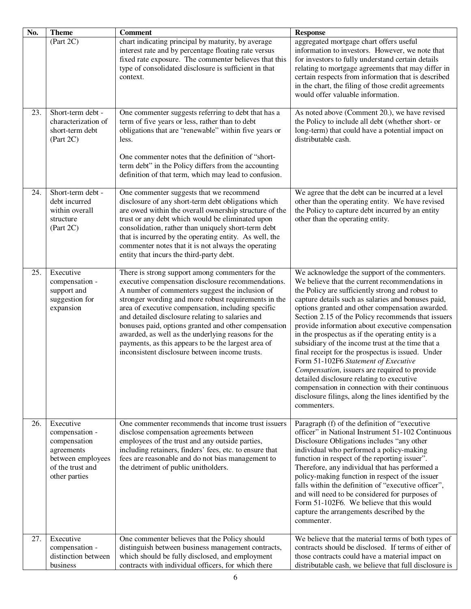| No. | <b>Theme</b>                                                                                                        | <b>Comment</b>                                                                                                                                                                                                                                                                                                                                                                                                                                                                                                                                     | <b>Response</b>                                                                                                                                                                                                                                                                                                                                                                                                                                                                                                                                                                                                                                                                                                                                                                                                 |
|-----|---------------------------------------------------------------------------------------------------------------------|----------------------------------------------------------------------------------------------------------------------------------------------------------------------------------------------------------------------------------------------------------------------------------------------------------------------------------------------------------------------------------------------------------------------------------------------------------------------------------------------------------------------------------------------------|-----------------------------------------------------------------------------------------------------------------------------------------------------------------------------------------------------------------------------------------------------------------------------------------------------------------------------------------------------------------------------------------------------------------------------------------------------------------------------------------------------------------------------------------------------------------------------------------------------------------------------------------------------------------------------------------------------------------------------------------------------------------------------------------------------------------|
|     | (Part 2C)                                                                                                           | chart indicating principal by maturity, by average<br>interest rate and by percentage floating rate versus<br>fixed rate exposure. The commenter believes that this<br>type of consolidated disclosure is sufficient in that<br>context.                                                                                                                                                                                                                                                                                                           | aggregated mortgage chart offers useful<br>information to investors. However, we note that<br>for investors to fully understand certain details<br>relating to mortgage agreements that may differ in<br>certain respects from information that is described<br>in the chart, the filing of those credit agreements<br>would offer valuable information.                                                                                                                                                                                                                                                                                                                                                                                                                                                        |
| 23. | Short-term debt -<br>characterization of<br>short-term debt<br>(Part 2C)                                            | One commenter suggests referring to debt that has a<br>term of five years or less, rather than to debt<br>obligations that are "renewable" within five years or<br>less.<br>One commenter notes that the definition of "short-<br>term debt" in the Policy differs from the accounting<br>definition of that term, which may lead to confusion.                                                                                                                                                                                                    | As noted above (Comment 20.), we have revised<br>the Policy to include all debt (whether short- or<br>long-term) that could have a potential impact on<br>distributable cash.                                                                                                                                                                                                                                                                                                                                                                                                                                                                                                                                                                                                                                   |
| 24. | Short-term debt -<br>debt incurred<br>within overall<br>structure<br>(Part 2C)                                      | One commenter suggests that we recommend<br>disclosure of any short-term debt obligations which<br>are owed within the overall ownership structure of the<br>trust or any debt which would be eliminated upon<br>consolidation, rather than uniquely short-term debt<br>that is incurred by the operating entity. As well, the<br>commenter notes that it is not always the operating<br>entity that incurs the third-party debt.                                                                                                                  | We agree that the debt can be incurred at a level<br>other than the operating entity. We have revised<br>the Policy to capture debt incurred by an entity<br>other than the operating entity.                                                                                                                                                                                                                                                                                                                                                                                                                                                                                                                                                                                                                   |
| 25. | Executive<br>compensation -<br>support and<br>suggestion for<br>expansion                                           | There is strong support among commenters for the<br>executive compensation disclosure recommendations.<br>A number of commenters suggest the inclusion of<br>stronger wording and more robust requirements in the<br>area of executive compensation, including specific<br>and detailed disclosure relating to salaries and<br>bonuses paid, options granted and other compensation<br>awarded, as well as the underlying reasons for the<br>payments, as this appears to be the largest area of<br>inconsistent disclosure between income trusts. | We acknowledge the support of the commenters.<br>We believe that the current recommendations in<br>the Policy are sufficiently strong and robust to<br>capture details such as salaries and bonuses paid,<br>options granted and other compensation awarded.<br>Section 2.15 of the Policy recommends that issuers<br>provide information about executive compensation<br>in the prospectus as if the operating entity is a<br>subsidiary of the income trust at the time that a<br>final receipt for the prospectus is issued. Under<br>Form 51-102F6 Statement of Executive<br><i>Compensation</i> , issuers are required to provide<br>detailed disclosure relating to executive<br>compensation in connection with their continuous<br>disclosure filings, along the lines identified by the<br>commenters. |
| 26. | Executive<br>compensation -<br>compensation<br>agreements<br>between employees<br>of the trust and<br>other parties | One commenter recommends that income trust issuers<br>disclose compensation agreements between<br>employees of the trust and any outside parties,<br>including retainers, finders' fees, etc. to ensure that<br>fees are reasonable and do not bias management to<br>the detriment of public unitholders.                                                                                                                                                                                                                                          | Paragraph (f) of the definition of "executive<br>officer" in National Instrument 51-102 Continuous<br>Disclosure Obligations includes "any other<br>individual who performed a policy-making<br>function in respect of the reporting issuer".<br>Therefore, any individual that has performed a<br>policy-making function in respect of the issuer<br>falls within the definition of "executive officer",<br>and will need to be considered for purposes of<br>Form 51-102F6. We believe that this would<br>capture the arrangements described by the<br>commenter.                                                                                                                                                                                                                                             |
| 27. | Executive<br>compensation -<br>distinction between<br>business                                                      | One commenter believes that the Policy should<br>distinguish between business management contracts,<br>which should be fully disclosed, and employment<br>contracts with individual officers, for which there                                                                                                                                                                                                                                                                                                                                      | We believe that the material terms of both types of<br>contracts should be disclosed. If terms of either of<br>those contracts could have a material impact on<br>distributable cash, we believe that full disclosure is                                                                                                                                                                                                                                                                                                                                                                                                                                                                                                                                                                                        |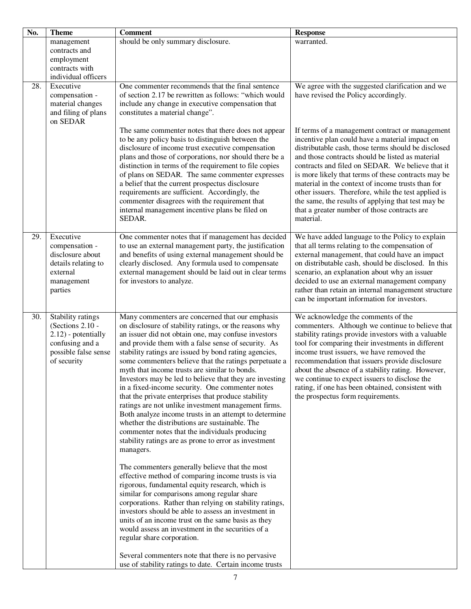| No. | <b>Theme</b>                        | <b>Comment</b>                                                                                                   | <b>Response</b>                                                                                      |
|-----|-------------------------------------|------------------------------------------------------------------------------------------------------------------|------------------------------------------------------------------------------------------------------|
|     | management                          | should be only summary disclosure.                                                                               | warranted.                                                                                           |
|     | contracts and                       |                                                                                                                  |                                                                                                      |
|     | employment                          |                                                                                                                  |                                                                                                      |
|     | contracts with                      |                                                                                                                  |                                                                                                      |
| 28. | individual officers<br>Executive    | One commenter recommends that the final sentence                                                                 | We agree with the suggested clarification and we                                                     |
|     | compensation -                      | of section 2.17 be rewritten as follows: "which would                                                            | have revised the Policy accordingly.                                                                 |
|     | material changes                    | include any change in executive compensation that                                                                |                                                                                                      |
|     | and filing of plans                 | constitutes a material change".                                                                                  |                                                                                                      |
|     | on SEDAR                            |                                                                                                                  |                                                                                                      |
|     |                                     | The same commenter notes that there does not appear                                                              | If terms of a management contract or management                                                      |
|     |                                     | to be any policy basis to distinguish between the                                                                | incentive plan could have a material impact on                                                       |
|     |                                     | disclosure of income trust executive compensation                                                                | distributable cash, those terms should be disclosed                                                  |
|     |                                     | plans and those of corporations, nor should there be a<br>distinction in terms of the requirement to file copies | and those contracts should be listed as material<br>contracts and filed on SEDAR. We believe that it |
|     |                                     | of plans on SEDAR. The same commenter expresses                                                                  | is more likely that terms of these contracts may be                                                  |
|     |                                     | a belief that the current prospectus disclosure                                                                  | material in the context of income trusts than for                                                    |
|     |                                     | requirements are sufficient. Accordingly, the                                                                    | other issuers. Therefore, while the test applied is                                                  |
|     |                                     | commenter disagrees with the requirement that                                                                    | the same, the results of applying that test may be                                                   |
|     |                                     | internal management incentive plans be filed on                                                                  | that a greater number of those contracts are                                                         |
|     |                                     | SEDAR.                                                                                                           | material.                                                                                            |
| 29. | Executive                           | One commenter notes that if management has decided                                                               | We have added language to the Policy to explain                                                      |
|     | compensation -                      | to use an external management party, the justification                                                           | that all terms relating to the compensation of                                                       |
|     | disclosure about                    | and benefits of using external management should be                                                              | external management, that could have an impact                                                       |
|     | details relating to                 | clearly disclosed. Any formula used to compensate                                                                | on distributable cash, should be disclosed. In this                                                  |
|     | external                            | external management should be laid out in clear terms                                                            | scenario, an explanation about why an issuer                                                         |
|     | management                          | for investors to analyze.                                                                                        | decided to use an external management company                                                        |
|     | parties                             |                                                                                                                  | rather than retain an internal management structure<br>can be important information for investors.   |
|     |                                     |                                                                                                                  |                                                                                                      |
| 30. | Stability ratings                   | Many commenters are concerned that our emphasis                                                                  | We acknowledge the comments of the                                                                   |
|     | (Sections 2.10 -                    | on disclosure of stability ratings, or the reasons why                                                           | commenters. Although we continue to believe that                                                     |
|     | 2.12) - potentially                 | an issuer did not obtain one, may confuse investors                                                              | stability ratings provide investors with a valuable                                                  |
|     | confusing and a                     | and provide them with a false sense of security. As                                                              | tool for comparing their investments in different                                                    |
|     | possible false sense<br>of security | stability ratings are issued by bond rating agencies,<br>some commenters believe that the ratings perpetuate a   | income trust issuers, we have removed the<br>recommendation that issuers provide disclosure          |
|     |                                     | myth that income trusts are similar to bonds.                                                                    | about the absence of a stability rating. However,                                                    |
|     |                                     | Investors may be led to believe that they are investing                                                          | we continue to expect issuers to disclose the                                                        |
|     |                                     | in a fixed-income security. One commenter notes                                                                  | rating, if one has been obtained, consistent with                                                    |
|     |                                     | that the private enterprises that produce stability                                                              | the prospectus form requirements.                                                                    |
|     |                                     | ratings are not unlike investment management firms.                                                              |                                                                                                      |
|     |                                     | Both analyze income trusts in an attempt to determine                                                            |                                                                                                      |
|     |                                     | whether the distributions are sustainable. The<br>commenter notes that the individuals producing                 |                                                                                                      |
|     |                                     | stability ratings are as prone to error as investment                                                            |                                                                                                      |
|     |                                     | managers.                                                                                                        |                                                                                                      |
|     |                                     |                                                                                                                  |                                                                                                      |
|     |                                     | The commenters generally believe that the most                                                                   |                                                                                                      |
|     |                                     | effective method of comparing income trusts is via                                                               |                                                                                                      |
|     |                                     | rigorous, fundamental equity research, which is<br>similar for comparisons among regular share                   |                                                                                                      |
|     |                                     | corporations. Rather than relying on stability ratings,                                                          |                                                                                                      |
|     |                                     | investors should be able to assess an investment in                                                              |                                                                                                      |
|     |                                     | units of an income trust on the same basis as they                                                               |                                                                                                      |
|     |                                     | would assess an investment in the securities of a                                                                |                                                                                                      |
|     |                                     | regular share corporation.                                                                                       |                                                                                                      |
|     |                                     |                                                                                                                  |                                                                                                      |
|     |                                     | Several commenters note that there is no pervasive                                                               |                                                                                                      |
|     |                                     | use of stability ratings to date. Certain income trusts                                                          |                                                                                                      |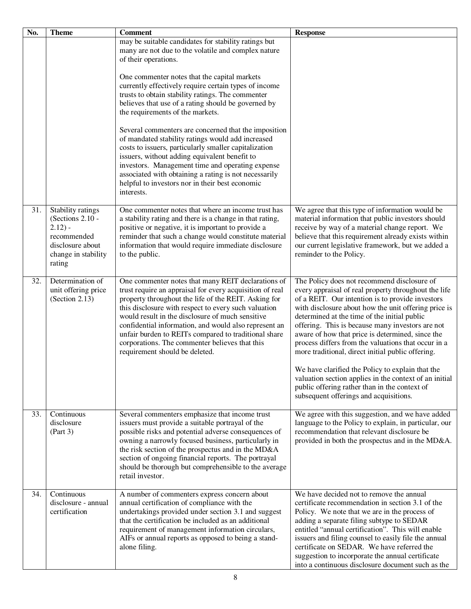| No. | <b>Theme</b>                                                                                                            | <b>Comment</b>                                                                                                                                                                                                                                                                                                                                                                                                                                                                          | <b>Response</b>                                                                                                                                                                                                                                                                                                                                                                                                                                                                                                                         |
|-----|-------------------------------------------------------------------------------------------------------------------------|-----------------------------------------------------------------------------------------------------------------------------------------------------------------------------------------------------------------------------------------------------------------------------------------------------------------------------------------------------------------------------------------------------------------------------------------------------------------------------------------|-----------------------------------------------------------------------------------------------------------------------------------------------------------------------------------------------------------------------------------------------------------------------------------------------------------------------------------------------------------------------------------------------------------------------------------------------------------------------------------------------------------------------------------------|
|     |                                                                                                                         | may be suitable candidates for stability ratings but<br>many are not due to the volatile and complex nature<br>of their operations.                                                                                                                                                                                                                                                                                                                                                     |                                                                                                                                                                                                                                                                                                                                                                                                                                                                                                                                         |
|     |                                                                                                                         | One commenter notes that the capital markets<br>currently effectively require certain types of income<br>trusts to obtain stability ratings. The commenter<br>believes that use of a rating should be governed by<br>the requirements of the markets.                                                                                                                                                                                                                                   |                                                                                                                                                                                                                                                                                                                                                                                                                                                                                                                                         |
|     |                                                                                                                         | Several commenters are concerned that the imposition<br>of mandated stability ratings would add increased<br>costs to issuers, particularly smaller capitalization<br>issuers, without adding equivalent benefit to<br>investors. Management time and operating expense<br>associated with obtaining a rating is not necessarily<br>helpful to investors nor in their best economic<br>interests.                                                                                       |                                                                                                                                                                                                                                                                                                                                                                                                                                                                                                                                         |
| 31. | Stability ratings<br>(Sections 2.10 -<br>$2.12$ ) -<br>recommended<br>disclosure about<br>change in stability<br>rating | One commenter notes that where an income trust has<br>a stability rating and there is a change in that rating,<br>positive or negative, it is important to provide a<br>reminder that such a change would constitute material<br>information that would require immediate disclosure<br>to the public.                                                                                                                                                                                  | We agree that this type of information would be<br>material information that public investors should<br>receive by way of a material change report. We<br>believe that this requirement already exists within<br>our current legislative framework, but we added a<br>reminder to the Policy.                                                                                                                                                                                                                                           |
| 32. | Determination of<br>unit offering price<br>(Section 2.13)                                                               | One commenter notes that many REIT declarations of<br>trust require an appraisal for every acquisition of real<br>property throughout the life of the REIT. Asking for<br>this disclosure with respect to every such valuation<br>would result in the disclosure of much sensitive<br>confidential information, and would also represent an<br>unfair burden to REITs compared to traditional share<br>corporations. The commenter believes that this<br>requirement should be deleted. | The Policy does not recommend disclosure of<br>every appraisal of real property throughout the life<br>of a REIT. Our intention is to provide investors<br>with disclosure about how the unit offering price is<br>determined at the time of the initial public<br>offering. This is because many investors are not<br>aware of how that price is determined, since the<br>process differs from the valuations that occur in a<br>more traditional, direct initial public offering.<br>We have clarified the Policy to explain that the |
|     |                                                                                                                         |                                                                                                                                                                                                                                                                                                                                                                                                                                                                                         | valuation section applies in the context of an initial<br>public offering rather than in the context of<br>subsequent offerings and acquisitions.                                                                                                                                                                                                                                                                                                                                                                                       |
| 33. | Continuous<br>disclosure<br>(Part 3)                                                                                    | Several commenters emphasize that income trust<br>issuers must provide a suitable portrayal of the<br>possible risks and potential adverse consequences of<br>owning a narrowly focused business, particularly in<br>the risk section of the prospectus and in the MD&A<br>section of ongoing financial reports. The portrayal<br>should be thorough but comprehensible to the average<br>retail investor.                                                                              | We agree with this suggestion, and we have added<br>language to the Policy to explain, in particular, our<br>recommendation that relevant disclosure be<br>provided in both the prospectus and in the MD&A.                                                                                                                                                                                                                                                                                                                             |
| 34. | Continuous<br>disclosure - annual<br>certification                                                                      | A number of commenters express concern about<br>annual certification of compliance with the<br>undertakings provided under section 3.1 and suggest<br>that the certification be included as an additional<br>requirement of management information circulars,<br>AIFs or annual reports as opposed to being a stand-<br>alone filing.                                                                                                                                                   | We have decided not to remove the annual<br>certificate recommendation in section 3.1 of the<br>Policy. We note that we are in the process of<br>adding a separate filing subtype to SEDAR<br>entitled "annual certification". This will enable<br>issuers and filing counsel to easily file the annual<br>certificate on SEDAR. We have referred the<br>suggestion to incorporate the annual certificate<br>into a continuous disclosure document such as the                                                                          |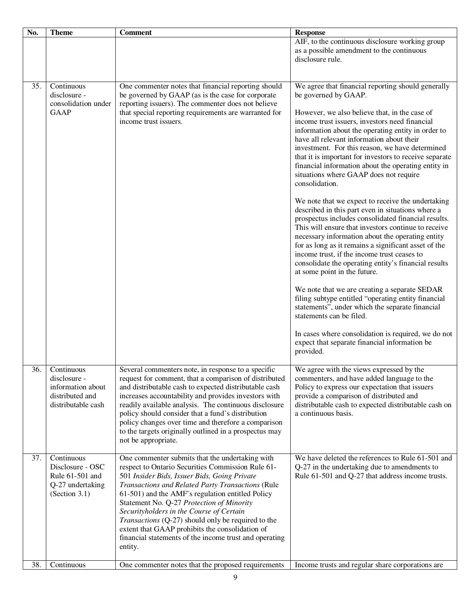| No. | <b>Theme</b>                                                                             | <b>Comment</b>                                                                                                                                                                                                                                                                                                                                                                                                                                                                                                                       | <b>Response</b>                                                                                                                                                                                                                                                                                                                                                                                                                                                                                                                                                                                                                                                                                                                                                                                                                                                                                                                                                                                                                                                                                                                                                                                                                                                                                         |
|-----|------------------------------------------------------------------------------------------|--------------------------------------------------------------------------------------------------------------------------------------------------------------------------------------------------------------------------------------------------------------------------------------------------------------------------------------------------------------------------------------------------------------------------------------------------------------------------------------------------------------------------------------|---------------------------------------------------------------------------------------------------------------------------------------------------------------------------------------------------------------------------------------------------------------------------------------------------------------------------------------------------------------------------------------------------------------------------------------------------------------------------------------------------------------------------------------------------------------------------------------------------------------------------------------------------------------------------------------------------------------------------------------------------------------------------------------------------------------------------------------------------------------------------------------------------------------------------------------------------------------------------------------------------------------------------------------------------------------------------------------------------------------------------------------------------------------------------------------------------------------------------------------------------------------------------------------------------------|
|     |                                                                                          |                                                                                                                                                                                                                                                                                                                                                                                                                                                                                                                                      | AIF, to the continuous disclosure working group<br>as a possible amendment to the continuous<br>disclosure rule.                                                                                                                                                                                                                                                                                                                                                                                                                                                                                                                                                                                                                                                                                                                                                                                                                                                                                                                                                                                                                                                                                                                                                                                        |
| 35. | Continuous<br>disclosure -<br>consolidation under<br><b>GAAP</b>                         | One commenter notes that financial reporting should<br>be governed by GAAP (as is the case for corporate<br>reporting issuers). The commenter does not believe<br>that special reporting requirements are warranted for<br>income trust issuers.                                                                                                                                                                                                                                                                                     | We agree that financial reporting should generally<br>be governed by GAAP.<br>However, we also believe that, in the case of<br>income trust issuers, investors need financial<br>information about the operating entity in order to<br>have all relevant information about their<br>investment. For this reason, we have determined<br>that it is important for investors to receive separate<br>financial information about the operating entity in<br>situations where GAAP does not require<br>consolidation.<br>We note that we expect to receive the undertaking<br>described in this part even in situations where a<br>prospectus includes consolidated financial results.<br>This will ensure that investors continue to receive<br>necessary information about the operating entity<br>for as long as it remains a significant asset of the<br>income trust, if the income trust ceases to<br>consolidate the operating entity's financial results<br>at some point in the future.<br>We note that we are creating a separate SEDAR<br>filing subtype entitled "operating entity financial<br>statements", under which the separate financial<br>statements can be filed.<br>In cases where consolidation is required, we do not<br>expect that separate financial information be<br>provided. |
| 36. | Continuous<br>disclosure -<br>information about<br>distributed and<br>distributable cash | Several commenters note, in response to a specific<br>request for comment, that a comparison of distributed<br>and distributable cash to expected distributable cash<br>increases accountability and provides investors with<br>readily available analysis. The continuous disclosure<br>policy should consider that a fund's distribution<br>policy changes over time and therefore a comparison<br>to the targets originally outlined in a prospectus may<br>not be appropriate.                                                   | We agree with the views expressed by the<br>commenters, and have added language to the<br>Policy to express our expectation that issuers<br>provide a comparison of distributed and<br>distributable cash to expected distributable cash on<br>a continuous basis.                                                                                                                                                                                                                                                                                                                                                                                                                                                                                                                                                                                                                                                                                                                                                                                                                                                                                                                                                                                                                                      |
| 37. | Continuous<br>Disclosure - OSC<br>Rule 61-501 and<br>Q-27 undertaking<br>(Section 3.1)   | One commenter submits that the undertaking with<br>respect to Ontario Securities Commission Rule 61-<br>501 Insider Bids, Issuer Bids, Going Private<br>Transactions and Related Party Transactions (Rule<br>61-501) and the AMF's regulation entitled Policy<br>Statement No. Q-27 Protection of Minority<br>Securityholders in the Course of Certain<br>Transactions (Q-27) should only be required to the<br>extent that GAAP prohibits the consolidation of<br>financial statements of the income trust and operating<br>entity. | We have deleted the references to Rule 61-501 and<br>Q-27 in the undertaking due to amendments to<br>Rule 61-501 and Q-27 that address income trusts.                                                                                                                                                                                                                                                                                                                                                                                                                                                                                                                                                                                                                                                                                                                                                                                                                                                                                                                                                                                                                                                                                                                                                   |
| 38. | Continuous                                                                               | One commenter notes that the proposed requirements                                                                                                                                                                                                                                                                                                                                                                                                                                                                                   | Income trusts and regular share corporations are                                                                                                                                                                                                                                                                                                                                                                                                                                                                                                                                                                                                                                                                                                                                                                                                                                                                                                                                                                                                                                                                                                                                                                                                                                                        |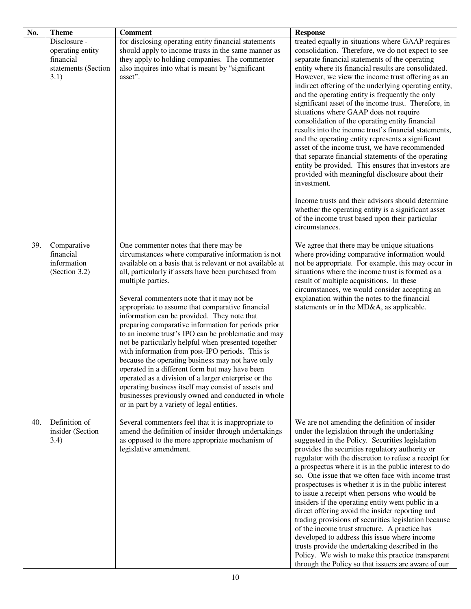| No. | <b>Theme</b><br>Disclosure -<br>operating entity<br>financial<br>statements (Section<br>3.1) | <b>Comment</b><br>for disclosing operating entity financial statements<br>should apply to income trusts in the same manner as<br>they apply to holding companies. The commenter<br>also inquires into what is meant by "significant<br>asset".                                                                                                                                                                                                                                                                                                                                                                                                                                                                                                                                                                                                                                                                                          | <b>Response</b><br>treated equally in situations where GAAP requires<br>consolidation. Therefore, we do not expect to see<br>separate financial statements of the operating<br>entity where its financial results are consolidated.<br>However, we view the income trust offering as an<br>indirect offering of the underlying operating entity,<br>and the operating entity is frequently the only<br>significant asset of the income trust. Therefore, in<br>situations where GAAP does not require<br>consolidation of the operating entity financial<br>results into the income trust's financial statements,<br>and the operating entity represents a significant<br>asset of the income trust, we have recommended<br>that separate financial statements of the operating<br>entity be provided. This ensures that investors are<br>provided with meaningful disclosure about their<br>investment.<br>Income trusts and their advisors should determine<br>whether the operating entity is a significant asset<br>of the income trust based upon their particular<br>circumstances. |
|-----|----------------------------------------------------------------------------------------------|-----------------------------------------------------------------------------------------------------------------------------------------------------------------------------------------------------------------------------------------------------------------------------------------------------------------------------------------------------------------------------------------------------------------------------------------------------------------------------------------------------------------------------------------------------------------------------------------------------------------------------------------------------------------------------------------------------------------------------------------------------------------------------------------------------------------------------------------------------------------------------------------------------------------------------------------|-------------------------------------------------------------------------------------------------------------------------------------------------------------------------------------------------------------------------------------------------------------------------------------------------------------------------------------------------------------------------------------------------------------------------------------------------------------------------------------------------------------------------------------------------------------------------------------------------------------------------------------------------------------------------------------------------------------------------------------------------------------------------------------------------------------------------------------------------------------------------------------------------------------------------------------------------------------------------------------------------------------------------------------------------------------------------------------------|
| 39. | Comparative<br>financial<br>information<br>(Section 3.2)                                     | One commenter notes that there may be<br>circumstances where comparative information is not<br>available on a basis that is relevant or not available at<br>all, particularly if assets have been purchased from<br>multiple parties.<br>Several commenters note that it may not be<br>appropriate to assume that comparative financial<br>information can be provided. They note that<br>preparing comparative information for periods prior<br>to an income trust's IPO can be problematic and may<br>not be particularly helpful when presented together<br>with information from post-IPO periods. This is<br>because the operating business may not have only<br>operated in a different form but may have been<br>operated as a division of a larger enterprise or the<br>operating business itself may consist of assets and<br>businesses previously owned and conducted in whole<br>or in part by a variety of legal entities. | We agree that there may be unique situations<br>where providing comparative information would<br>not be appropriate. For example, this may occur in<br>situations where the income trust is formed as a<br>result of multiple acquisitions. In these<br>circumstances, we would consider accepting an<br>explanation within the notes to the financial<br>statements or in the MD&A, as applicable.                                                                                                                                                                                                                                                                                                                                                                                                                                                                                                                                                                                                                                                                                       |
| 40. | Definition of<br>insider (Section<br>3.4)                                                    | Several commenters feel that it is inappropriate to<br>amend the definition of insider through undertakings<br>as opposed to the more appropriate mechanism of<br>legislative amendment.                                                                                                                                                                                                                                                                                                                                                                                                                                                                                                                                                                                                                                                                                                                                                | We are not amending the definition of insider<br>under the legislation through the undertaking<br>suggested in the Policy. Securities legislation<br>provides the securities regulatory authority or<br>regulator with the discretion to refuse a receipt for<br>a prospectus where it is in the public interest to do<br>so. One issue that we often face with income trust<br>prospectuses is whether it is in the public interest<br>to issue a receipt when persons who would be<br>insiders if the operating entity went public in a<br>direct offering avoid the insider reporting and<br>trading provisions of securities legislation because<br>of the income trust structure. A practice has<br>developed to address this issue where income<br>trusts provide the undertaking described in the<br>Policy. We wish to make this practice transparent<br>through the Policy so that issuers are aware of our                                                                                                                                                                      |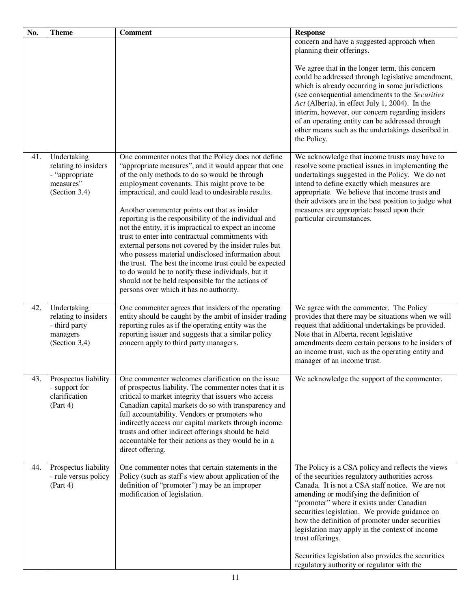| No. | <b>Theme</b>                                                                        | <b>Comment</b>                                                                                                                                                                                                                                                                                                                                                                                                                                                                                                                                                                                                                                                                                                                                                                                                           | <b>Response</b>                                                                                                                                                                                                                                                                                                                                                                                                                                                                                                                  |
|-----|-------------------------------------------------------------------------------------|--------------------------------------------------------------------------------------------------------------------------------------------------------------------------------------------------------------------------------------------------------------------------------------------------------------------------------------------------------------------------------------------------------------------------------------------------------------------------------------------------------------------------------------------------------------------------------------------------------------------------------------------------------------------------------------------------------------------------------------------------------------------------------------------------------------------------|----------------------------------------------------------------------------------------------------------------------------------------------------------------------------------------------------------------------------------------------------------------------------------------------------------------------------------------------------------------------------------------------------------------------------------------------------------------------------------------------------------------------------------|
|     |                                                                                     |                                                                                                                                                                                                                                                                                                                                                                                                                                                                                                                                                                                                                                                                                                                                                                                                                          | concern and have a suggested approach when<br>planning their offerings.                                                                                                                                                                                                                                                                                                                                                                                                                                                          |
|     |                                                                                     |                                                                                                                                                                                                                                                                                                                                                                                                                                                                                                                                                                                                                                                                                                                                                                                                                          | We agree that in the longer term, this concern<br>could be addressed through legislative amendment,<br>which is already occurring in some jurisdictions<br>(see consequential amendments to the Securities<br>Act (Alberta), in effect July 1, 2004). In the<br>interim, however, our concern regarding insiders<br>of an operating entity can be addressed through<br>other means such as the undertakings described in<br>the Policy.                                                                                          |
| 41. | Undertaking<br>relating to insiders<br>- "appropriate<br>measures"<br>(Section 3.4) | One commenter notes that the Policy does not define<br>"appropriate measures", and it would appear that one<br>of the only methods to do so would be through<br>employment covenants. This might prove to be<br>impractical, and could lead to undesirable results.<br>Another commenter points out that as insider<br>reporting is the responsibility of the individual and<br>not the entity, it is impractical to expect an income<br>trust to enter into contractual commitments with<br>external persons not covered by the insider rules but<br>who possess material undisclosed information about<br>the trust. The best the income trust could be expected<br>to do would be to notify these individuals, but it<br>should not be held responsible for the actions of<br>persons over which it has no authority. | We acknowledge that income trusts may have to<br>resolve some practical issues in implementing the<br>undertakings suggested in the Policy. We do not<br>intend to define exactly which measures are<br>appropriate. We believe that income trusts and<br>their advisors are in the best position to judge what<br>measures are appropriate based upon their<br>particular circumstances.                                                                                                                                        |
| 42. | Undertaking<br>relating to insiders<br>- third party<br>managers<br>(Section 3.4)   | One commenter agrees that insiders of the operating<br>entity should be caught by the ambit of insider trading<br>reporting rules as if the operating entity was the<br>reporting issuer and suggests that a similar policy<br>concern apply to third party managers.                                                                                                                                                                                                                                                                                                                                                                                                                                                                                                                                                    | We agree with the commenter. The Policy<br>provides that there may be situations when we will<br>request that additional undertakings be provided.<br>Note that in Alberta, recent legislative<br>amendments deem certain persons to be insiders of<br>an income trust, such as the operating entity and<br>manager of an income trust.                                                                                                                                                                                          |
| 43. | Prospectus liability<br>- support for<br>clarification<br>(Part 4)                  | One commenter welcomes clarification on the issue<br>of prospectus liability. The commenter notes that it is<br>critical to market integrity that issuers who access<br>Canadian capital markets do so with transparency and<br>full accountability. Vendors or promoters who<br>indirectly access our capital markets through income<br>trusts and other indirect offerings should be held<br>accountable for their actions as they would be in a<br>direct offering.                                                                                                                                                                                                                                                                                                                                                   | We acknowledge the support of the commenter.                                                                                                                                                                                                                                                                                                                                                                                                                                                                                     |
| 44. | Prospectus liability<br>- rule versus policy<br>(Part 4)                            | One commenter notes that certain statements in the<br>Policy (such as staff's view about application of the<br>definition of "promoter") may be an improper<br>modification of legislation.                                                                                                                                                                                                                                                                                                                                                                                                                                                                                                                                                                                                                              | The Policy is a CSA policy and reflects the views<br>of the securities regulatory authorities across<br>Canada. It is not a CSA staff notice. We are not<br>amending or modifying the definition of<br>"promoter" where it exists under Canadian<br>securities legislation. We provide guidance on<br>how the definition of promoter under securities<br>legislation may apply in the context of income<br>trust offerings.<br>Securities legislation also provides the securities<br>regulatory authority or regulator with the |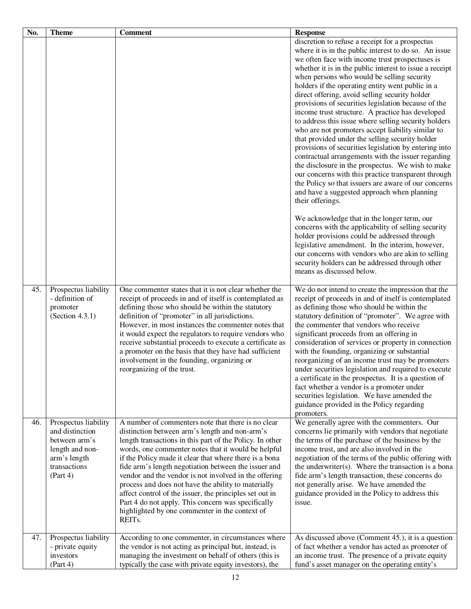| No. | <b>Theme</b>                                                                                                            | <b>Comment</b>                                                                                                                                                                                                                                                                                                                                                                                                                                                                                                                                                                                                                                      | <b>Response</b>                                                                                                                                                                                                                                                                                                                                                                                                                                                                                                                                                                                                                                                                                                                                                                                                                                                                                                                                                                                                                                                                                                                                                                                                                                                                                                                                           |
|-----|-------------------------------------------------------------------------------------------------------------------------|-----------------------------------------------------------------------------------------------------------------------------------------------------------------------------------------------------------------------------------------------------------------------------------------------------------------------------------------------------------------------------------------------------------------------------------------------------------------------------------------------------------------------------------------------------------------------------------------------------------------------------------------------------|-----------------------------------------------------------------------------------------------------------------------------------------------------------------------------------------------------------------------------------------------------------------------------------------------------------------------------------------------------------------------------------------------------------------------------------------------------------------------------------------------------------------------------------------------------------------------------------------------------------------------------------------------------------------------------------------------------------------------------------------------------------------------------------------------------------------------------------------------------------------------------------------------------------------------------------------------------------------------------------------------------------------------------------------------------------------------------------------------------------------------------------------------------------------------------------------------------------------------------------------------------------------------------------------------------------------------------------------------------------|
|     |                                                                                                                         |                                                                                                                                                                                                                                                                                                                                                                                                                                                                                                                                                                                                                                                     | discretion to refuse a receipt for a prospectus<br>where it is in the public interest to do so. An issue<br>we often face with income trust prospectuses is<br>whether it is in the public interest to issue a receipt<br>when persons who would be selling security<br>holders if the operating entity went public in a<br>direct offering, avoid selling security holder<br>provisions of securities legislation because of the<br>income trust structure. A practice has developed<br>to address this issue where selling security holders<br>who are not promoters accept liability similar to<br>that provided under the selling security holder<br>provisions of securities legislation by entering into<br>contractual arrangements with the issuer regarding<br>the disclosure in the prospectus. We wish to make<br>our concerns with this practice transparent through<br>the Policy so that issuers are aware of our concerns<br>and have a suggested approach when planning<br>their offerings.<br>We acknowledge that in the longer term, our<br>concerns with the applicability of selling security<br>holder provisions could be addressed through<br>legislative amendment. In the interim, however,<br>our concerns with vendors who are akin to selling<br>security holders can be addressed through other<br>means as discussed below. |
| 45. | Prospectus liability<br>- definition of<br>promoter<br>(Section 4.3.1)                                                  | One commenter states that it is not clear whether the<br>receipt of proceeds in and of itself is contemplated as<br>defining those who should be within the statutory<br>definition of "promoter" in all jurisdictions.<br>However, in most instances the commenter notes that<br>it would expect the regulators to require vendors who<br>receive substantial proceeds to execute a certificate as<br>a promoter on the basis that they have had sufficient<br>involvement in the founding, organizing or<br>reorganizing of the trust.                                                                                                            | We do not intend to create the impression that the<br>receipt of proceeds in and of itself is contemplated<br>as defining those who should be within the<br>statutory definition of "promoter". We agree with<br>the commenter that vendors who receive<br>significant proceeds from an offering in<br>consideration of services or property in connection<br>with the founding, organizing or substantial<br>reorganizing of an income trust may be promoters<br>under securities legislation and required to execute<br>a certificate in the prospectus. It is a question of<br>fact whether a vendor is a promoter under<br>securities legislation. We have amended the<br>guidance provided in the Policy regarding<br>promoters.                                                                                                                                                                                                                                                                                                                                                                                                                                                                                                                                                                                                                     |
| 46. | Prospectus liability<br>and distinction<br>between arm's<br>length and non-<br>arm's length<br>transactions<br>(Part 4) | A number of commenters note that there is no clear<br>distinction between arm's length and non-arm's<br>length transactions in this part of the Policy. In other<br>words, one commenter notes that it would be helpful<br>if the Policy made it clear that where there is a bona<br>fide arm's length negotiation between the issuer and<br>vendor and the vendor is not involved in the offering<br>process and does not have the ability to materially<br>affect control of the issuer, the principles set out in<br>Part 4 do not apply. This concern was specifically<br>highlighted by one commenter in the context of<br>REIT <sub>s</sub> . | We generally agree with the commenters. Our<br>concerns lie primarily with vendors that negotiate<br>the terms of the purchase of the business by the<br>income trust, and are also involved in the<br>negotiation of the terms of the public offering with<br>the underwriter(s). Where the transaction is a bona<br>fide arm's length transaction, these concerns do<br>not generally arise. We have amended the<br>guidance provided in the Policy to address this<br>issue.                                                                                                                                                                                                                                                                                                                                                                                                                                                                                                                                                                                                                                                                                                                                                                                                                                                                           |
| 47. | Prospectus liability<br>- private equity<br>investors<br>(Part 4)                                                       | According to one commenter, in circumstances where<br>the vendor is not acting as principal but, instead, is<br>managing the investment on behalf of others (this is<br>typically the case with private equity investors), the                                                                                                                                                                                                                                                                                                                                                                                                                      | As discussed above (Comment 45.), it is a question<br>of fact whether a vendor has acted as promoter of<br>an income trust. The presence of a private equity<br>fund's asset manager on the operating entity's                                                                                                                                                                                                                                                                                                                                                                                                                                                                                                                                                                                                                                                                                                                                                                                                                                                                                                                                                                                                                                                                                                                                            |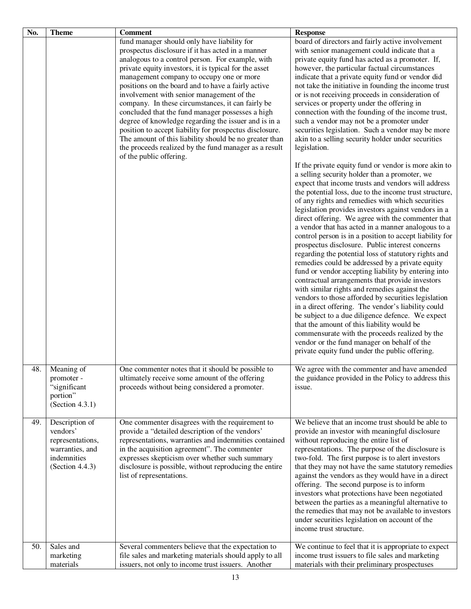| No. | <b>Theme</b>                                                                                        | <b>Comment</b>                                                                                                                                                                                                                                                                                                                                                                                                                                                                                                                                                                                                                                                                                                                         | <b>Response</b>                                                                                                                                                                                                                                                                                                                                                                                                                                                                                                                                                                                                                                                                                                                                                                                                                                                                                                                                                                                                                                                                                                                                                                                                                                                                                                                                                                                                                                                                                                                                                                                                                                                                                                                                                                                     |
|-----|-----------------------------------------------------------------------------------------------------|----------------------------------------------------------------------------------------------------------------------------------------------------------------------------------------------------------------------------------------------------------------------------------------------------------------------------------------------------------------------------------------------------------------------------------------------------------------------------------------------------------------------------------------------------------------------------------------------------------------------------------------------------------------------------------------------------------------------------------------|-----------------------------------------------------------------------------------------------------------------------------------------------------------------------------------------------------------------------------------------------------------------------------------------------------------------------------------------------------------------------------------------------------------------------------------------------------------------------------------------------------------------------------------------------------------------------------------------------------------------------------------------------------------------------------------------------------------------------------------------------------------------------------------------------------------------------------------------------------------------------------------------------------------------------------------------------------------------------------------------------------------------------------------------------------------------------------------------------------------------------------------------------------------------------------------------------------------------------------------------------------------------------------------------------------------------------------------------------------------------------------------------------------------------------------------------------------------------------------------------------------------------------------------------------------------------------------------------------------------------------------------------------------------------------------------------------------------------------------------------------------------------------------------------------------|
|     |                                                                                                     | fund manager should only have liability for<br>prospectus disclosure if it has acted in a manner<br>analogous to a control person. For example, with<br>private equity investors, it is typical for the asset<br>management company to occupy one or more<br>positions on the board and to have a fairly active<br>involvement with senior management of the<br>company. In these circumstances, it can fairly be<br>concluded that the fund manager possesses a high<br>degree of knowledge regarding the issuer and is in a<br>position to accept liability for prospectus disclosure.<br>The amount of this liability should be no greater than<br>the proceeds realized by the fund manager as a result<br>of the public offering. | board of directors and fairly active involvement<br>with senior management could indicate that a<br>private equity fund has acted as a promoter. If,<br>however, the particular factual circumstances<br>indicate that a private equity fund or vendor did<br>not take the initiative in founding the income trust<br>or is not receiving proceeds in consideration of<br>services or property under the offering in<br>connection with the founding of the income trust,<br>such a vendor may not be a promoter under<br>securities legislation. Such a vendor may be more<br>akin to a selling security holder under securities<br>legislation.<br>If the private equity fund or vendor is more akin to<br>a selling security holder than a promoter, we<br>expect that income trusts and vendors will address<br>the potential loss, due to the income trust structure,<br>of any rights and remedies with which securities<br>legislation provides investors against vendors in a<br>direct offering. We agree with the commenter that<br>a vendor that has acted in a manner analogous to a<br>control person is in a position to accept liability for<br>prospectus disclosure. Public interest concerns<br>regarding the potential loss of statutory rights and<br>remedies could be addressed by a private equity<br>fund or vendor accepting liability by entering into<br>contractual arrangements that provide investors<br>with similar rights and remedies against the<br>vendors to those afforded by securities legislation<br>in a direct offering. The vendor's liability could<br>be subject to a due diligence defence. We expect<br>that the amount of this liability would be<br>commensurate with the proceeds realized by the<br>vendor or the fund manager on behalf of the |
|     |                                                                                                     |                                                                                                                                                                                                                                                                                                                                                                                                                                                                                                                                                                                                                                                                                                                                        | private equity fund under the public offering.                                                                                                                                                                                                                                                                                                                                                                                                                                                                                                                                                                                                                                                                                                                                                                                                                                                                                                                                                                                                                                                                                                                                                                                                                                                                                                                                                                                                                                                                                                                                                                                                                                                                                                                                                      |
| 48. | Meaning of<br>promoter -<br>"significant<br>portion"<br>(Section 4.3.1)                             | One commenter notes that it should be possible to<br>ultimately receive some amount of the offering<br>proceeds without being considered a promoter.                                                                                                                                                                                                                                                                                                                                                                                                                                                                                                                                                                                   | We agree with the commenter and have amended<br>the guidance provided in the Policy to address this<br>issue.                                                                                                                                                                                                                                                                                                                                                                                                                                                                                                                                                                                                                                                                                                                                                                                                                                                                                                                                                                                                                                                                                                                                                                                                                                                                                                                                                                                                                                                                                                                                                                                                                                                                                       |
| 49. | Description of<br>vendors'<br>representations,<br>warranties, and<br>indemnities<br>(Section 4.4.3) | One commenter disagrees with the requirement to<br>provide a "detailed description of the vendors'<br>representations, warranties and indemnities contained<br>in the acquisition agreement". The commenter<br>expresses skepticism over whether such summary<br>disclosure is possible, without reproducing the entire<br>list of representations.                                                                                                                                                                                                                                                                                                                                                                                    | We believe that an income trust should be able to<br>provide an investor with meaningful disclosure<br>without reproducing the entire list of<br>representations. The purpose of the disclosure is<br>two-fold. The first purpose is to alert investors<br>that they may not have the same statutory remedies<br>against the vendors as they would have in a direct<br>offering. The second purpose is to inform<br>investors what protections have been negotiated<br>between the parties as a meaningful alternative to<br>the remedies that may not be available to investors<br>under securities legislation on account of the<br>income trust structure.                                                                                                                                                                                                                                                                                                                                                                                                                                                                                                                                                                                                                                                                                                                                                                                                                                                                                                                                                                                                                                                                                                                                       |
| 50. | Sales and<br>marketing<br>materials                                                                 | Several commenters believe that the expectation to<br>file sales and marketing materials should apply to all<br>issuers, not only to income trust issuers. Another                                                                                                                                                                                                                                                                                                                                                                                                                                                                                                                                                                     | We continue to feel that it is appropriate to expect<br>income trust issuers to file sales and marketing<br>materials with their preliminary prospectuses                                                                                                                                                                                                                                                                                                                                                                                                                                                                                                                                                                                                                                                                                                                                                                                                                                                                                                                                                                                                                                                                                                                                                                                                                                                                                                                                                                                                                                                                                                                                                                                                                                           |